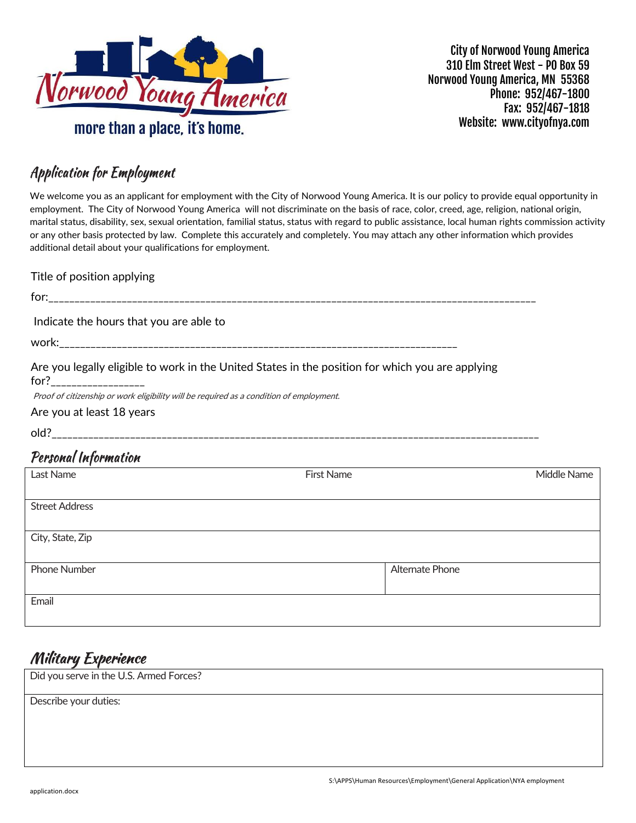

City of Norwood Young America 310 Elm Street West - PO Box 59 Norwood Young America, MN 55368 Phone: 952/467-1800 Fax: 952/467-1818 Website: www.cityofnya.com

### **Application for Employment**

We welcome you as an applicant for employment with the City of Norwood Young America. It is our policy to provide equal opportunity in employment. The City of Norwood Young America will not discriminate on the basis of race, color, creed, age, religion, national origin, marital status, disability, sex, sexual orientation, familial status, status with regard to public assistance, local human rights commission activity or any other basis protected by law. Complete this accurately and completely. You may attach any other information which provides additional detail about your qualifications for employment.

| Title of position applying                                                              |                                                                                                  |             |
|-----------------------------------------------------------------------------------------|--------------------------------------------------------------------------------------------------|-------------|
|                                                                                         |                                                                                                  |             |
| Indicate the hours that you are able to                                                 |                                                                                                  |             |
|                                                                                         |                                                                                                  |             |
| $for?$ ____________________                                                             | Are you legally eligible to work in the United States in the position for which you are applying |             |
| Proof of citizenship or work eligibility will be required as a condition of employment. |                                                                                                  |             |
| Are you at least 18 years                                                               |                                                                                                  |             |
|                                                                                         |                                                                                                  |             |
| Personal Information                                                                    |                                                                                                  |             |
| Last Name                                                                               | <b>First Name</b>                                                                                | Middle Name |
| <b>Street Address</b>                                                                   |                                                                                                  |             |
| City, State, Zip                                                                        |                                                                                                  |             |
| <b>Phone Number</b>                                                                     | Alternate Phone                                                                                  |             |
| Email                                                                                   |                                                                                                  |             |
|                                                                                         |                                                                                                  |             |

### **Military Experience**

Did you serve in the U.S. Armed Forces?

Describe your duties: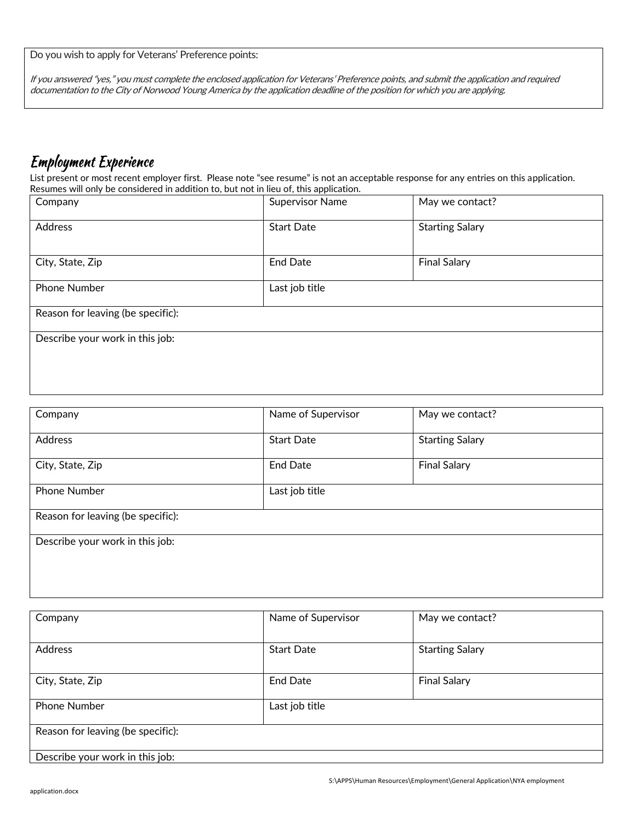Do you wish to apply for Veterans' Preference points:

If you answered "yes," you must complete the enclosed application for Veterans' Preference points, and submit the application and required documentation to the City of Norwood Young America by the application deadline of the position for which you are applying.

### **Employment Experience**

List present or most recent employer first. Please note "see resume" is not an acceptable response for any entries on this application. Resumes will only be considered in addition to, but not in lieu of, this application.

| Company                           | <b>Supervisor Name</b> | May we contact?        |
|-----------------------------------|------------------------|------------------------|
| Address                           | <b>Start Date</b>      | <b>Starting Salary</b> |
| City, State, Zip                  | <b>End Date</b>        | <b>Final Salary</b>    |
| <b>Phone Number</b>               | Last job title         |                        |
| Reason for leaving (be specific): |                        |                        |
| Describe your work in this job:   |                        |                        |
|                                   |                        |                        |

| Company                           | Name of Supervisor<br>May we contact?       |                     |
|-----------------------------------|---------------------------------------------|---------------------|
| <b>Address</b>                    | <b>Start Date</b><br><b>Starting Salary</b> |                     |
| City, State, Zip                  | <b>End Date</b>                             | <b>Final Salary</b> |
| <b>Phone Number</b>               | Last job title                              |                     |
| Reason for leaving (be specific): |                                             |                     |
| Describe your work in this job:   |                                             |                     |
|                                   |                                             |                     |

| Company                           | Name of Supervisor | May we contact?        |
|-----------------------------------|--------------------|------------------------|
|                                   |                    |                        |
| <b>Address</b>                    | <b>Start Date</b>  | <b>Starting Salary</b> |
|                                   |                    |                        |
| City, State, Zip                  | <b>End Date</b>    | <b>Final Salary</b>    |
|                                   |                    |                        |
| <b>Phone Number</b>               | Last job title     |                        |
|                                   |                    |                        |
| Reason for leaving (be specific): |                    |                        |
|                                   |                    |                        |
| Describe your work in this job:   |                    |                        |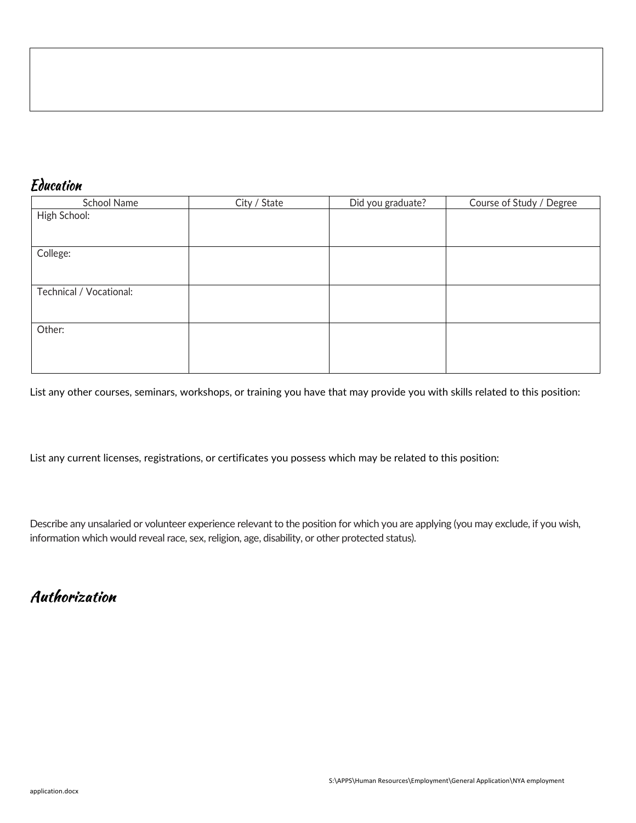### Education

| School Name             | City / State | Did you graduate? | Course of Study / Degree |
|-------------------------|--------------|-------------------|--------------------------|
| High School:            |              |                   |                          |
|                         |              |                   |                          |
|                         |              |                   |                          |
| College:                |              |                   |                          |
|                         |              |                   |                          |
|                         |              |                   |                          |
| Technical / Vocational: |              |                   |                          |
|                         |              |                   |                          |
|                         |              |                   |                          |
| Other:                  |              |                   |                          |
|                         |              |                   |                          |
|                         |              |                   |                          |
|                         |              |                   |                          |

List any other courses, seminars, workshops, or training you have that may provide you with skills related to this position:

List any current licenses, registrations, or certificates you possess which may be related to this position:

Describe any unsalaried or volunteer experience relevant to the position for which you are applying (you may exclude, if you wish, information which would reveal race, sex, religion, age, disability, or other protected status).

### Authorization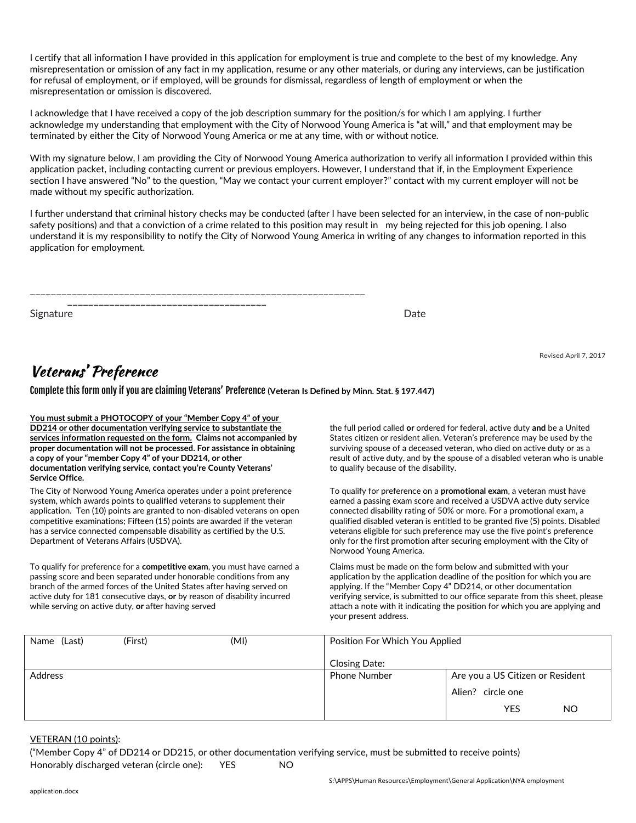I certify that all information I have provided in this application for employment is true and complete to the best of my knowledge. Any misrepresentation or omission of any fact in my application, resume or any other materials, or during any interviews, can be justification for refusal of employment, or if employed, will be grounds for dismissal, regardless of length of employment or when the misrepresentation or omission is discovered.

I acknowledge that I have received a copy of the job description summary for the position/s for which I am applying. I further acknowledge my understanding that employment with the City of Norwood Young America is "at will," and that employment may be terminated by either the City of Norwood Young America or me at any time, with or without notice.

With my signature below, I am providing the City of Norwood Young America authorization to verify all information I provided within this application packet, including contacting current or previous employers. However, I understand that if, in the Employment Experience section I have answered "No" to the question, "May we contact your current employer?" contact with my current employer will not be made without my specific authorization.

I further understand that criminal history checks may be conducted (after I have been selected for an interview, in the case of non-public safety positions) and that a conviction of a crime related to this position may result in my being rejected for this job opening. I also understand it is my responsibility to notify the City of Norwood Young America in writing of any changes to information reported in this application for employment.

Signature Date Date of the Date of the Date of the Date of the Date of the Date of the Date of the Date of the Date of the Date of the Date of the Date of the Date of the Date of the Date of the Date of the Date of the Dat

Revised April 7, 2017

### Veterans' Preference

Complete this form only if you are claiming Veterans' Preference **(Veteran Is Defined by Minn. Stat. § 197.447)**

**You must submit a PHOTOCOPY of your "Member Copy 4" of your DD214 or other documentation verifying service to substantiate the services information requested on the form. Claims not accompanied by proper documentation will not be processed. For assistance in obtaining a copy of your "member Copy 4" of your DD214, or other documentation verifying service, contact you're County Veterans' Service Office.**

The City of Norwood Young America operates under a point preference system, which awards points to qualified veterans to supplement their application. Ten (10) points are granted to non-disabled veterans on open competitive examinations; Fifteen (15) points are awarded if the veteran has a service connected compensable disability as certified by the U.S. Department of Veterans Affairs (USDVA).

To qualify for preference for a **competitive exam**, you must have earned a passing score and been separated under honorable conditions from any branch of the armed forces of the United States after having served on active duty for 181 consecutive days, **or** by reason of disability incurred while serving on active duty, **or** after having served

the full period called **or** ordered for federal, active duty **and** be a United States citizen or resident alien. Veteran's preference may be used by the surviving spouse of a deceased veteran, who died on active duty or as a result of active duty, and by the spouse of a disabled veteran who is unable to qualify because of the disability.

To qualify for preference on a **promotional exam**, a veteran must have earned a passing exam score and received a USDVA active duty service connected disability rating of 50% or more. For a promotional exam, a qualified disabled veteran is entitled to be granted five (5) points. Disabled veterans eligible for such preference may use the five point's preference only for the first promotion after securing employment with the City of Norwood Young America.

Claims must be made on the form below and submitted with your application by the application deadline of the position for which you are applying. If the "Member Copy 4" DD214, or other documentation verifying service, is submitted to our office separate from this sheet, please attach a note with it indicating the position for which you are applying and your present address.

| (Last)<br>Name | (First) | (MI) | Position For Which You Applied |                                  |
|----------------|---------|------|--------------------------------|----------------------------------|
|                |         |      | Closing Date:                  |                                  |
| <b>Address</b> |         |      | <b>Phone Number</b>            | Are you a US Citizen or Resident |
|                |         |      |                                | Alien? circle one                |
|                |         |      |                                | YES<br>NO.                       |

#### VETERAN (10 points):

("Member Copy 4" of DD214 or DD215, or other documentation verifying service, must be submitted to receive points) Honorably discharged veteran (circle one): YES NO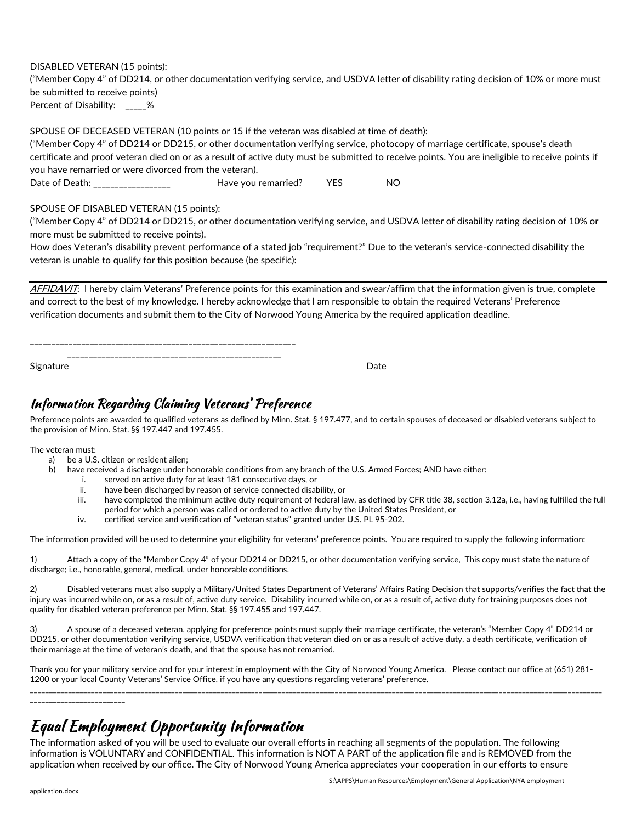#### DISABLED VETERAN (15 points):

("Member Copy 4" of DD214, or other documentation verifying service, and USDVA letter of disability rating decision of 10% or more must be submitted to receive points) Percent of Disability: \_\_\_\_%

SPOUSE OF DECEASED VETERAN (10 points or 15 if the veteran was disabled at time of death):

("Member Copy 4" of DD214 or DD215, or other documentation verifying service, photocopy of marriage certificate, spouse's death certificate and proof veteran died on or as a result of active duty must be submitted to receive points. You are ineligible to receive points if you have remarried or were divorced from the veteran).

Date of Death: \_\_\_\_\_\_\_\_\_\_\_\_\_\_\_\_\_\_\_\_\_\_ Have you remarried? YES NO

#### SPOUSE OF DISABLED VETERAN (15 points):

("Member Copy 4" of DD214 or DD215, or other documentation verifying service, and USDVA letter of disability rating decision of 10% or more must be submitted to receive points).

How does Veteran's disability prevent performance of a stated job "requirement?" Due to the veteran's service-connected disability the veteran is unable to qualify for this position because (be specific):

AFFIDAVIT: I hereby claim Veterans' Preference points for this examination and swear/affirm that the information given is true, complete and correct to the best of my knowledge. I hereby acknowledge that I am responsible to obtain the required Veterans' Preference verification documents and submit them to the City of Norwood Young America by the required application deadline.

\_\_\_\_\_\_\_\_\_\_\_\_\_\_\_\_\_\_\_\_\_\_\_\_\_\_\_\_\_\_\_\_\_\_\_\_\_\_\_\_\_\_\_\_\_\_\_\_\_\_\_\_\_\_\_\_\_\_\_\_\_\_

Signature **Date** 

### Information Regarding Claiming Veterans' Preference

Preference points are awarded to qualified veterans as defined by Minn. Stat. § 197.477, and to certain spouses of deceased or disabled veterans subject to the provision of Minn. Stat. §§ 197.447 and 197.455.

The veteran must:

- a) be a U.S. citizen or resident alien;
- b) have received a discharge under honorable conditions from any branch of the U.S. Armed Forces; AND have either:
	- i. served on active duty for at least 181 consecutive days, or
	- ii. have been discharged by reason of service connected disability, or
	- iii. have completed the minimum active duty requirement of federal law, as defined by CFR title 38, section 3.12a, i.e., having fulfilled the full period for which a person was called or ordered to active duty by the United States President, or
	- iv. certified service and verification of "veteran status" granted under U.S. PL 95-202.

The information provided will be used to determine your eligibility for veterans' preference points. You are required to supply the following information:

1) Attach a copy of the "Member Copy 4" of your DD214 or DD215, or other documentation verifying service, This copy must state the nature of discharge; i.e., honorable, general, medical, under honorable conditions.

2) Disabled veterans must also supply a Military/United States Department of Veterans' Affairs Rating Decision that supports/verifies the fact that the injury was incurred while on, or as a result of, active duty service. Disability incurred while on, or as a result of, active duty for training purposes does not quality for disabled veteran preference per Minn. Stat. §§ 197.455 and 197.447.

3) A spouse of a deceased veteran, applying for preference points must supply their marriage certificate, the veteran's "Member Copy 4" DD214 or DD215, or other documentation verifying service, USDVA verification that veteran died on or as a result of active duty, a death certificate, verification of their marriage at the time of veteran's death, and that the spouse has not remarried.

Thank you for your military service and for your interest in employment with the City of Norwood Young America. Please contact our office at (651) 281- 1200 or your local County Veterans' Service Office, if you have any questions regarding veterans' preference. \_\_\_\_\_\_\_\_\_\_\_\_\_\_\_\_\_\_\_\_\_\_\_\_\_\_\_\_\_\_\_\_\_\_\_\_\_\_\_\_\_\_\_\_\_\_\_\_\_\_\_\_\_\_\_\_\_\_\_\_\_\_\_\_\_\_\_\_\_\_\_\_\_\_\_\_\_\_\_\_\_\_\_\_\_\_\_\_\_\_\_\_\_\_\_\_\_\_\_\_\_\_\_\_\_\_\_\_\_\_\_\_\_\_\_\_\_\_\_\_\_\_\_\_\_\_\_\_\_\_\_\_\_\_\_\_\_\_\_\_\_\_\_\_\_\_\_\_\_\_

\_\_\_\_\_\_\_\_\_\_\_\_\_\_\_\_\_\_\_\_\_\_\_\_\_

# **Equal Employment Opportunity Information**

The information asked of you will be used to evaluate our overall efforts in reaching all segments of the population. The following information is VOLUNTARY and CONFIDENTIAL. This information is NOT A PART of the application file and is REMOVED from the application when received by our office. The City of Norwood Young America appreciates your cooperation in our efforts to ensure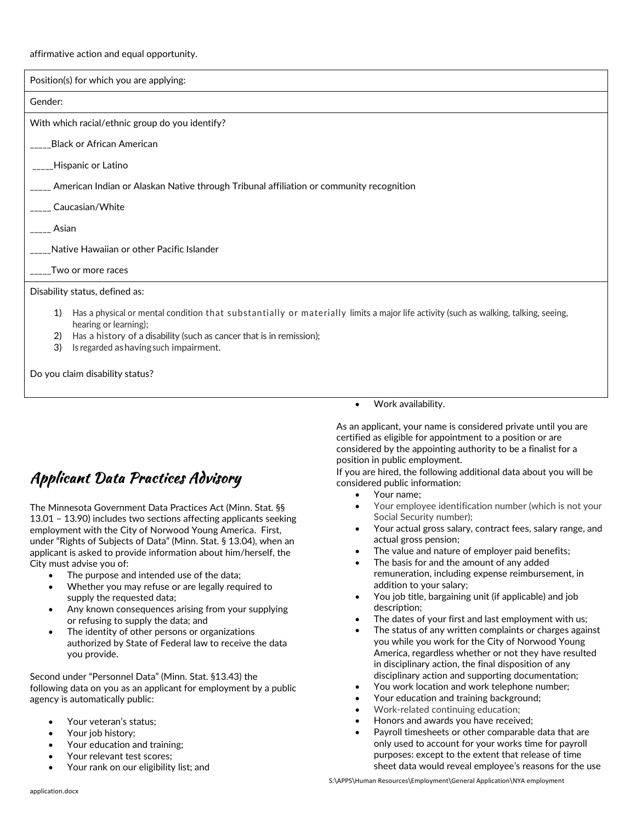#### affirmative action and equal opportunity.

| Position(s) for which you are applying:                                                                                                                            |  |  |  |  |
|--------------------------------------------------------------------------------------------------------------------------------------------------------------------|--|--|--|--|
| Gender:                                                                                                                                                            |  |  |  |  |
| With which racial/ethnic group do you identify?                                                                                                                    |  |  |  |  |
| ____Black or African American                                                                                                                                      |  |  |  |  |
| ____Hispanic or Latino                                                                                                                                             |  |  |  |  |
| _____ American Indian or Alaskan Native through Tribunal affiliation or community recognition                                                                      |  |  |  |  |
| ____ Caucasian/White                                                                                                                                               |  |  |  |  |
| Asian                                                                                                                                                              |  |  |  |  |
| ____Native Hawaiian or other Pacific Islander                                                                                                                      |  |  |  |  |
| Two or more races                                                                                                                                                  |  |  |  |  |
| Disability status, defined as:                                                                                                                                     |  |  |  |  |
| Has a physical or mental condition that substantially or materially limits a major life activity (such as walking, talking, seeing,<br>1)<br>hearing or learning); |  |  |  |  |
| Has a history of a disability (such as cancer that is in remission);<br>2)<br>3)<br>Is regarded as having such impairment.                                         |  |  |  |  |
| Do you claim disability status?                                                                                                                                    |  |  |  |  |

# **Applicant Data Practices Advisory**

The Minnesota Government Data Practices Act (Minn. Stat. §§ 13.01 – 13.90) includes two sections affecting applicants seeking employment with the City of Norwood Young America. First, under "Rights of Subjects of Data" (Minn. Stat. § 13.04), when an applicant is asked to provide information about him/herself, the City must advise you of:

- The purpose and intended use of the data;
- Whether you may refuse or are legally required to supply the requested data;
- Any known consequences arising from your supplying or refusing to supply the data; and
- The identity of other persons or organizations authorized by State of Federal law to receive the data you provide.

Second under "Personnel Data" (Minn. Stat. §13.43) the following data on you as an applicant for employment by a public agency is automatically public:

- Your veteran's status;
- Your job history;
- Your education and training;
- Your relevant test scores;
- Your rank on our eligibility list; and

• Work availability.

As an applicant, your name is considered private until you are certified as eligible for appointment to a position or are considered by the appointing authority to be a finalist for a position in public employment.

If you are hired, the following additional data about you will be considered public information:

- Your name;
- Your employee identification number (which is not your Social Security number);
- Your actual gross salary, contract fees, salary range, and actual gross pension;
- The value and nature of employer paid benefits;
- The basis for and the amount of any added remuneration, including expense reimbursement, in addition to your salary;
- You job title, bargaining unit (if applicable) and job description;
- The dates of your first and last employment with us;
- The status of any written complaints or charges against you while you work for the City of Norwood Young America, regardless whether or not they have resulted in disciplinary action, the final disposition of any disciplinary action and supporting documentation;
- You work location and work telephone number;
- Your education and training background;
- Work-related continuing education;
- Honors and awards you have received;
- Payroll timesheets or other comparable data that are only used to account for your works time for payroll purposes: except to the extent that release of time sheet data would reveal employee's reasons for the use

S:\APPS\Human Resources\Employment\General Application\NYA employment